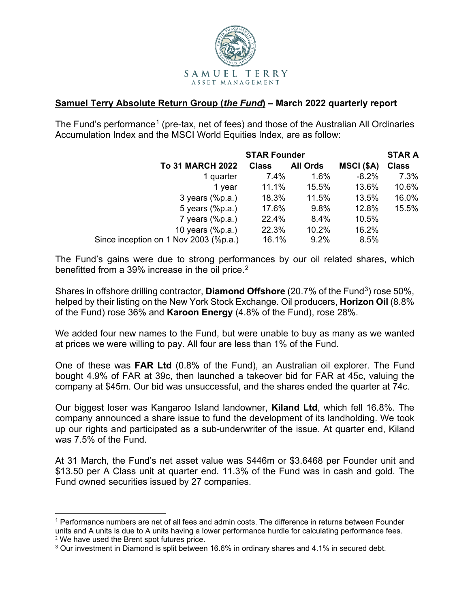

## **Samuel Terry Absolute Return Group (***the Fund***) – March 2022 quarterly report**

The Fund's performance<sup>[1](#page-0-0)</sup> (pre-tax, net of fees) and those of the Australian All Ordinaries Accumulation Index and the MSCI World Equities Index, are as follow:

|                                       | <b>STAR Founder</b> |                 |            | <b>STAR A</b> |
|---------------------------------------|---------------------|-----------------|------------|---------------|
| <b>To 31 MARCH 2022</b>               | <b>Class</b>        | <b>All Ords</b> | MSCI (\$A) | <b>Class</b>  |
| 1 quarter                             | 7.4%                | 1.6%            | $-8.2%$    | 7.3%          |
| 1 year                                | 11.1%               | 15.5%           | 13.6%      | 10.6%         |
| $3$ years $(\%p.a.)$                  | 18.3%               | 11.5%           | 13.5%      | 16.0%         |
| 5 years (%p.a.)                       | 17.6%               | 9.8%            | 12.8%      | 15.5%         |
| $7$ years (%p.a.)                     | 22.4%               | 8.4%            | 10.5%      |               |
| 10 years (%p.a.)                      | 22.3%               | 10.2%           | 16.2%      |               |
| Since inception on 1 Nov 2003 (%p.a.) | 16.1%               | 9.2%            | 8.5%       |               |

The Fund's gains were due to strong performances by our oil related shares, which benefitted from a 39% increase in the oil price.<sup>[2](#page-0-1)</sup>

Shares in offshore drilling contractor, **Diamond Offshore** (20.7% of the Fund<sup>3</sup>) rose 50%, helped by their listing on the New York Stock Exchange. Oil producers, **Horizon Oil** (8.8% of the Fund) rose 36% and **Karoon Energy** (4.8% of the Fund), rose 28%.

We added four new names to the Fund, but were unable to buy as many as we wanted at prices we were willing to pay. All four are less than 1% of the Fund.

One of these was **FAR Ltd** (0.8% of the Fund), an Australian oil explorer. The Fund bought 4.9% of FAR at 39c, then launched a takeover bid for FAR at 45c, valuing the company at \$45m. Our bid was unsuccessful, and the shares ended the quarter at 74c.

Our biggest loser was Kangaroo Island landowner, **Kiland Ltd**, which fell 16.8%. The company announced a share issue to fund the development of its landholding. We took up our rights and participated as a sub-underwriter of the issue. At quarter end, Kiland was 7.5% of the Fund.

At 31 March, the Fund's net asset value was \$446m or \$3.6468 per Founder unit and \$13.50 per A Class unit at quarter end. 11.3% of the Fund was in cash and gold. The Fund owned securities issued by 27 companies.

<span id="page-0-0"></span><sup>&</sup>lt;sup>1</sup> Performance numbers are net of all fees and admin costs. The difference in returns between Founder units and A units is due to A units having a lower performance hurdle for calculating performance fees.

<span id="page-0-1"></span> $2$  We have used the Brent spot futures price.

<span id="page-0-2"></span><sup>&</sup>lt;sup>3</sup> Our investment in Diamond is split between 16.6% in ordinary shares and 4.1% in secured debt.